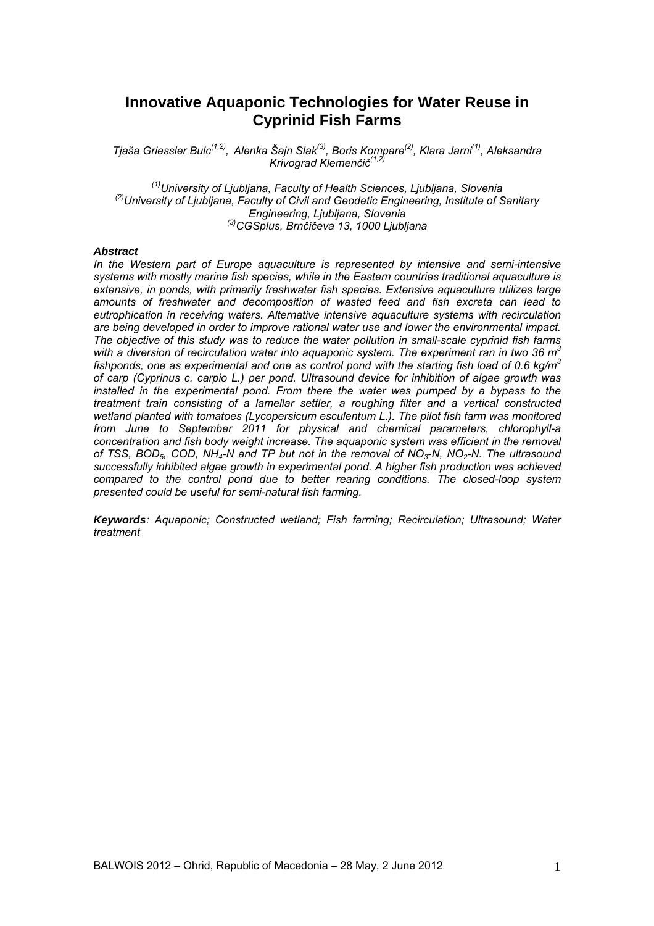# **Innovative Aquaponic Technologies for Water Reuse in Cyprinid Fish Farms**

*Tjaša Griessler Bulc(1,2), Alenka Šajn Slak(3), Boris Kompare(2), Klara Jarni(1), Aleksandra Krivograd Klemenčič(1,2)*

*(1)University of Ljubljana, Faculty of Health Sciences, Ljubljana, Slovenia (2)University of Ljubljana, Faculty of Civil and Geodetic Engineering, Institute of Sanitary Engineering, Ljubljana, Slovenia (3)CGSplus, Brnčičeva 13, 1000 Ljubljana* 

#### *Abstract*

*In the Western part of Europe aquaculture is represented by intensive and semi-intensive systems with mostly marine fish species, while in the Eastern countries traditional aquaculture is extensive, in ponds, with primarily freshwater fish species. Extensive aquaculture utilizes large amounts of freshwater and decomposition of wasted feed and fish excreta can lead to eutrophication in receiving waters. Alternative intensive aquaculture systems with recirculation are being developed in order to improve rational water use and lower the environmental impact. The objective of this study was to reduce the water pollution in small-scale cyprinid fish farms with a diversion of recirculation water into aquaponic system. The experiment ran in two 36 m3 fishponds, one as experimental and one as control pond with the starting fish load of 0.6 kg/m3 of carp (Cyprinus c. carpio L.) per pond. Ultrasound device for inhibition of algae growth was installed in the experimental pond. From there the water was pumped by a bypass to the treatment train consisting of a lamellar settler, a roughing filter and a vertical constructed wetland planted with tomatoes (Lycopersicum esculentum L.). The pilot fish farm was monitored from June to September 2011 for physical and chemical parameters, chlorophyll-a concentration and fish body weight increase. The aquaponic system was efficient in the removal of TSS, BOD5, COD, NH4-N and TP but not in the removal of NO3-N, NO2-N. The ultrasound successfully inhibited algae growth in experimental pond. A higher fish production was achieved compared to the control pond due to better rearing conditions. The closed-loop system presented could be useful for semi-natural fish farming.* 

*Keywords: Aquaponic; Constructed wetland; Fish farming; Recirculation; Ultrasound; Water treatment*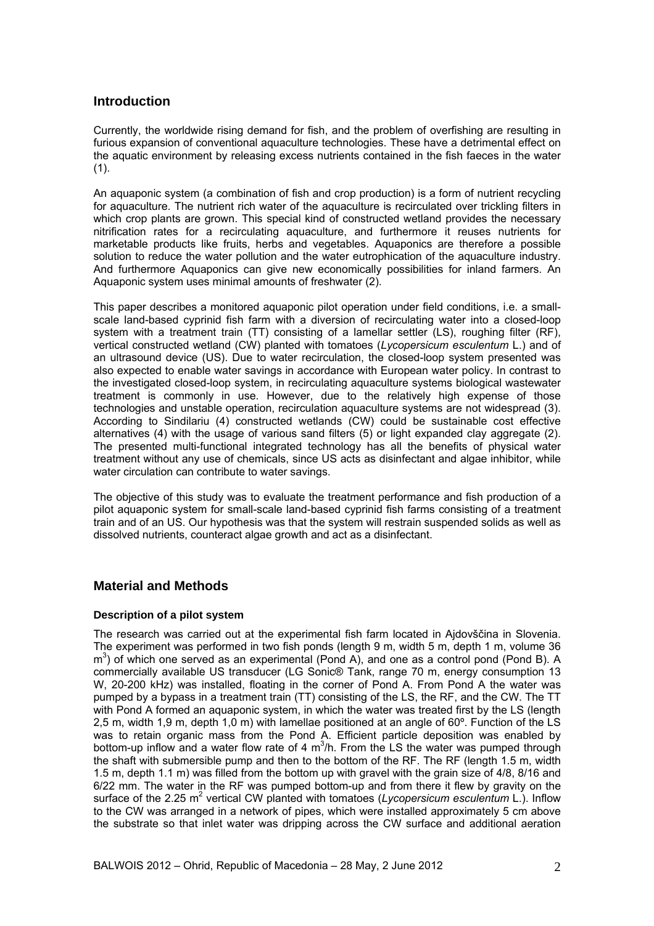## **Introduction**

Currently, the worldwide rising demand for fish, and the problem of overfishing are resulting in furious expansion of conventional aquaculture technologies. These have a detrimental effect on the aquatic environment by releasing excess nutrients contained in the fish faeces in the water  $(1)$ .

An aquaponic system (a combination of fish and crop production) is a form of nutrient recycling for aquaculture. The nutrient rich water of the aquaculture is recirculated over trickling filters in which crop plants are grown. This special kind of constructed wetland provides the necessary nitrification rates for a recirculating aquaculture, and furthermore it reuses nutrients for marketable products like fruits, herbs and vegetables. Aquaponics are therefore a possible solution to reduce the water pollution and the water eutrophication of the aquaculture industry. And furthermore Aquaponics can give new economically possibilities for inland farmers. An Aquaponic system uses minimal amounts of freshwater (2).

This paper describes a monitored aquaponic pilot operation under field conditions, i.e. a smallscale land-based cyprinid fish farm with a diversion of recirculating water into a closed-loop system with a treatment train (TT) consisting of a lamellar settler (LS), roughing filter (RF), vertical constructed wetland (CW) planted with tomatoes (*Lycopersicum esculentum* L.) and of an ultrasound device (US). Due to water recirculation, the closed-loop system presented was also expected to enable water savings in accordance with European water policy. In contrast to the investigated closed-loop system, in recirculating aquaculture systems biological wastewater treatment is commonly in use. However, due to the relatively high expense of those technologies and unstable operation, recirculation aquaculture systems are not widespread (3). According to Sindilariu (4) constructed wetlands (CW) could be sustainable cost effective alternatives (4) with the usage of various sand filters (5) or light expanded clay aggregate (2). The presented multi-functional integrated technology has all the benefits of physical water treatment without any use of chemicals, since US acts as disinfectant and algae inhibitor, while water circulation can contribute to water savings.

The objective of this study was to evaluate the treatment performance and fish production of a pilot aquaponic system for small-scale land-based cyprinid fish farms consisting of a treatment train and of an US. Our hypothesis was that the system will restrain suspended solids as well as dissolved nutrients, counteract algae growth and act as a disinfectant.

# **Material and Methods**

### **Description of a pilot system**

The research was carried out at the experimental fish farm located in Ajdovščina in Slovenia. The experiment was performed in two fish ponds (length 9 m, width 5 m, depth 1 m, volume 36  $\text{m}^3$ ) of which one served as an experimental (Pond A), and one as a control pond (Pond B). A commercially available US transducer (LG Sonic® Tank, range 70 m, energy consumption 13 W, 20-200 kHz) was installed, floating in the corner of Pond A. From Pond A the water was pumped by a bypass in a treatment train (TT) consisting of the LS, the RF, and the CW. The TT with Pond A formed an aquaponic system, in which the water was treated first by the LS (length 2,5 m, width 1,9 m, depth 1,0 m) with lamellae positioned at an angle of 60º. Function of the LS was to retain organic mass from the Pond A. Efficient particle deposition was enabled by bottom-up inflow and a water flow rate of 4  $m^3/h$ . From the LS the water was pumped through the shaft with submersible pump and then to the bottom of the RF. The RF (length 1.5 m, width 1.5 m, depth 1.1 m) was filled from the bottom up with gravel with the grain size of 4/8, 8/16 and 6/22 mm. The water in the RF was pumped bottom-up and from there it flew by gravity on the surface of the 2.25 m<sup>2</sup> vertical CW planted with tomatoes (Lycopersicum esculentum L.). Inflow to the CW was arranged in a network of pipes, which were installed approximately 5 cm above the substrate so that inlet water was dripping across the CW surface and additional aeration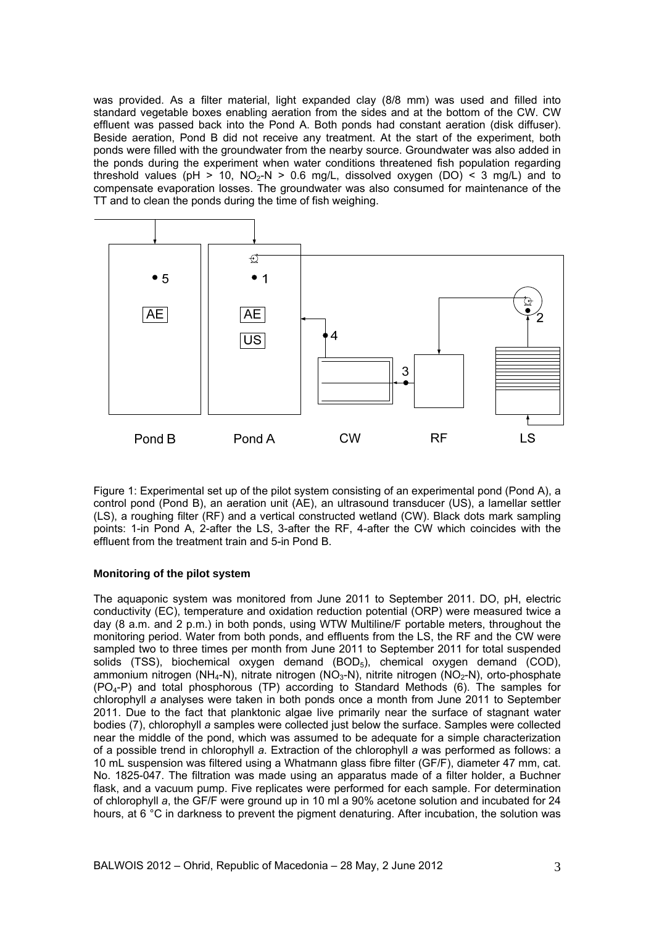was provided. As a filter material, light expanded clay (8/8 mm) was used and filled into standard vegetable boxes enabling aeration from the sides and at the bottom of the CW. CW effluent was passed back into the Pond A. Both ponds had constant aeration (disk diffuser). Beside aeration, Pond B did not receive any treatment. At the start of the experiment, both ponds were filled with the groundwater from the nearby source. Groundwater was also added in the ponds during the experiment when water conditions threatened fish population regarding threshold values (pH > 10, NO<sub>2</sub>-N > 0.6 mg/L, dissolved oxygen (DO) < 3 mg/L) and to compensate evaporation losses. The groundwater was also consumed for maintenance of the TT and to clean the ponds during the time of fish weighing.



Figure 1: Experimental set up of the pilot system consisting of an experimental pond (Pond A), a control pond (Pond B), an aeration unit (AE), an ultrasound transducer (US), a lamellar settler (LS), a roughing filter (RF) and a vertical constructed wetland (CW). Black dots mark sampling points: 1-in Pond A, 2-after the LS, 3-after the RF, 4-after the CW which coincides with the effluent from the treatment train and 5-in Pond B.

### **Monitoring of the pilot system**

The aquaponic system was monitored from June 2011 to September 2011. DO, pH, electric conductivity (EC), temperature and oxidation reduction potential (ORP) were measured twice a day (8 a.m. and 2 p.m.) in both ponds, using WTW Multiline/F portable meters, throughout the monitoring period. Water from both ponds, and effluents from the LS, the RF and the CW were sampled two to three times per month from June 2011 to September 2011 for total suspended solids (TSS), biochemical oxygen demand (BOD<sub>5</sub>), chemical oxygen demand (COD), ammonium nitrogen (NH<sub>4</sub>-N), nitrate nitrogen (NO<sub>3</sub>-N), nitrite nitrogen (NO<sub>2</sub>-N), orto-phosphate  $(PO_4-P)$  and total phosphorous (TP) according to Standard Methods (6). The samples for chlorophyll *a* analyses were taken in both ponds once a month from June 2011 to September 2011. Due to the fact that planktonic algae live primarily near the surface of stagnant water bodies (7), chlorophyll *a* samples were collected just below the surface. Samples were collected near the middle of the pond, which was assumed to be adequate for a simple characterization of a possible trend in chlorophyll *a*. Extraction of the chlorophyll *a* was performed as follows: a 10 mL suspension was filtered using a Whatmann glass fibre filter (GF/F), diameter 47 mm, cat. No. 1825-047. The filtration was made using an apparatus made of a filter holder, a Buchner flask, and a vacuum pump. Five replicates were performed for each sample. For determination of chlorophyll *a*, the GF/F were ground up in 10 ml a 90% acetone solution and incubated for 24 hours, at 6 °C in darkness to prevent the pigment denaturing. After incubation, the solution was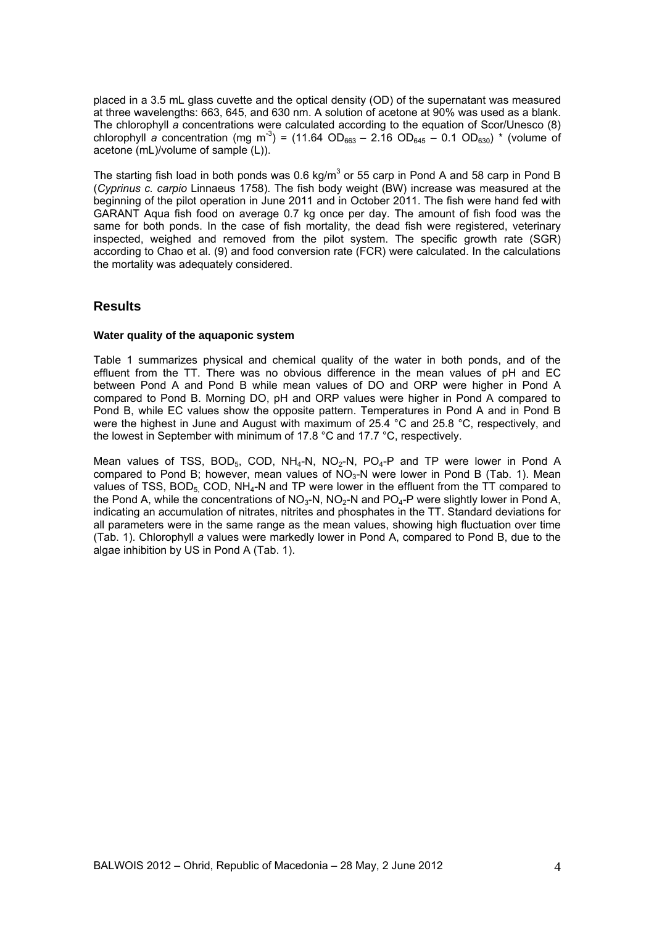placed in a 3.5 mL glass cuvette and the optical density (OD) of the supernatant was measured at three wavelengths: 663, 645, and 630 nm. A solution of acetone at 90% was used as a blank. The chlorophyll *a* concentrations were calculated according to the equation of Scor/Unesco (8) chlorophyll *a* concentration (mg m<sup>-3</sup>) = (11.64 OD<sub>663</sub> – 2.16 OD<sub>645</sub> – 0.1 OD<sub>630</sub>) \* (volume of acetone (mL)/volume of sample (L)).

The starting fish load in both ponds was 0.6 kg/m<sup>3</sup> or 55 carp in Pond A and 58 carp in Pond B (*Cyprinus c. carpio* Linnaeus 1758). The fish body weight (BW) increase was measured at the beginning of the pilot operation in June 2011 and in October 2011. The fish were hand fed with GARANT Aqua fish food on average 0.7 kg once per day. The amount of fish food was the same for both ponds. In the case of fish mortality, the dead fish were registered, veterinary inspected, weighed and removed from the pilot system. The specific growth rate (SGR) according to Chao et al. (9) and food conversion rate (FCR) were calculated. In the calculations the mortality was adequately considered.

# **Results**

#### **Water quality of the aquaponic system**

Table 1 summarizes physical and chemical quality of the water in both ponds, and of the effluent from the TT. There was no obvious difference in the mean values of pH and EC between Pond A and Pond B while mean values of DO and ORP were higher in Pond A compared to Pond B. Morning DO, pH and ORP values were higher in Pond A compared to Pond B, while EC values show the opposite pattern. Temperatures in Pond A and in Pond B were the highest in June and August with maximum of 25.4 °C and 25.8 °C, respectively, and the lowest in September with minimum of 17.8 °C and 17.7 °C, respectively.

Mean values of TSS,  $BOD_5$ , COD, NH<sub>4</sub>-N, NO<sub>2</sub>-N, PO<sub>4</sub>-P and TP were lower in Pond A compared to Pond B; however, mean values of  $NO<sub>3</sub>-N$  were lower in Pond B (Tab. 1). Mean values of TSS,  $BOD_5$ , COD,  $NH_4$ -N and TP were lower in the effluent from the TT compared to the Pond A, while the concentrations of NO<sub>3</sub>-N, NO<sub>2</sub>-N and PO<sub>4</sub>-P were slightly lower in Pond A, indicating an accumulation of nitrates, nitrites and phosphates in the TT. Standard deviations for all parameters were in the same range as the mean values, showing high fluctuation over time (Tab. 1). Chlorophyll *a* values were markedly lower in Pond A, compared to Pond B, due to the algae inhibition by US in Pond A (Tab. 1).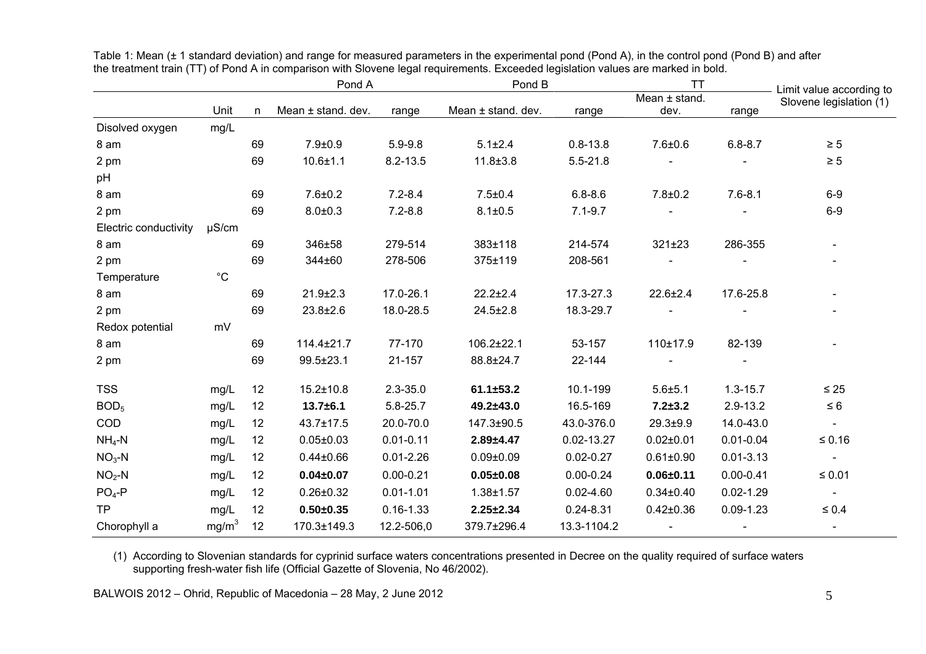|                       |                   |    | Pond A             |               | Pond B             |               | ТT                |               | Limit value according to |
|-----------------------|-------------------|----|--------------------|---------------|--------------------|---------------|-------------------|---------------|--------------------------|
|                       |                   |    |                    |               |                    |               | Mean $\pm$ stand. |               | Slovene legislation (1)  |
|                       | Unit              | n  | Mean ± stand. dev. | range         | Mean ± stand. dev. | range         | dev.              | range         |                          |
| Disolved oxygen       | mg/L              |    |                    |               |                    |               |                   |               |                          |
| 8 am                  |                   | 69 | $7.9 + 0.9$        | $5.9 - 9.8$   | $5.1 \pm 2.4$      | $0.8 - 13.8$  | $7.6 + 0.6$       | $6.8 - 8.7$   | $\geq 5$                 |
| 2 pm                  |                   | 69 | $10.6 + 1.1$       | $8.2 - 13.5$  | $11.8 \pm 3.8$     | $5.5 - 21.8$  |                   |               | $\geq 5$                 |
| pH                    |                   |    |                    |               |                    |               |                   |               |                          |
| 8 am                  |                   | 69 | $7.6 + 0.2$        | $7.2 - 8.4$   | $7.5 \pm 0.4$      | $6.8 - 8.6$   | $7.8 + 0.2$       | $7.6 - 8.1$   | $6-9$                    |
| 2 pm                  |                   | 69 | $8.0 + 0.3$        | $7.2 - 8.8$   | $8.1 \pm 0.5$      | $7.1 - 9.7$   |                   |               | $6-9$                    |
| Electric conductivity | $\mu$ S/cm        |    |                    |               |                    |               |                   |               |                          |
| 8 am                  |                   | 69 | 346±58             | 279-514       | 383±118            | 214-574       | 321±23            | 286-355       |                          |
| 2 pm                  |                   | 69 | 344±60             | 278-506       | 375±119            | 208-561       |                   |               |                          |
| Temperature           | $^{\circ}C$       |    |                    |               |                    |               |                   |               |                          |
| 8 am                  |                   | 69 | $21.9 \pm 2.3$     | 17.0-26.1     | $22.2 \pm 2.4$     | 17.3-27.3     | $22.6 \pm 2.4$    | 17.6-25.8     |                          |
| 2 pm                  |                   | 69 | $23.8 \pm 2.6$     | 18.0-28.5     | $24.5 \pm 2.8$     | 18.3-29.7     |                   |               |                          |
| Redox potential       | mV                |    |                    |               |                    |               |                   |               |                          |
| 8 am                  |                   | 69 | $114.4 \pm 21.7$   | 77-170        | $106.2 \pm 22.1$   | 53-157        | 110±17.9          | 82-139        |                          |
| 2 pm                  |                   | 69 | 99.5±23.1          | 21-157        | 88.8±24.7          | 22-144        |                   |               |                          |
| <b>TSS</b>            | mg/L              | 12 | $15.2 \pm 10.8$    | $2.3 - 35.0$  | $61.1 \pm 53.2$    | 10.1-199      | $5.6 + 5.1$       | $1.3 - 15.7$  | $\leq 25$                |
| BOD <sub>5</sub>      | mg/L              | 12 | $13.7 + 6.1$       | 5.8-25.7      | 49.2±43.0          | 16.5-169      | $7.2 + 3.2$       | $2.9 - 13.2$  | $\leq 6$                 |
| COD                   | mg/L              | 12 | $43.7 \pm 17.5$    | 20.0-70.0     | 147.3±90.5         | 43.0-376.0    | $29.3 + 9.9$      | 14.0-43.0     | $\blacksquare$           |
| $NH_4-N$              | mg/L              | 12 | $0.05 \pm 0.03$    | $0.01 - 0.11$ | $2.89 + 4.47$      | 0.02-13.27    | $0.02 \pm 0.01$   | $0.01 - 0.04$ | $≤ 0.16$                 |
| $NO3-N$               | mg/L              | 12 | $0.44 \pm 0.66$    | $0.01 - 2.26$ | $0.09 \pm 0.09$    | $0.02 - 0.27$ | $0.61 \pm 0.90$   | $0.01 - 3.13$ | $\blacksquare$           |
| $NO2-N$               | mg/L              | 12 | $0.04 \pm 0.07$    | $0.00 - 0.21$ | $0.05 \pm 0.08$    | $0.00 - 0.24$ | $0.06 \pm 0.11$   | $0.00 - 0.41$ | $≤ 0.01$                 |
| $PO4-P$               | mg/L              | 12 | $0.26 \pm 0.32$    | $0.01 - 1.01$ | $1.38 + 1.57$      | $0.02 - 4.60$ | $0.34 \pm 0.40$   | $0.02 - 1.29$ | $\sim$                   |
| <b>TP</b>             | mg/L              | 12 | $0.50 + 0.35$      | $0.16 - 1.33$ | $2.25 \pm 2.34$    | $0.24 - 8.31$ | $0.42 \pm 0.36$   | $0.09 - 1.23$ | $\leq 0.4$               |
| Chorophyll a          | mg/m <sup>3</sup> | 12 | 170.3±149.3        | 12.2-506,0    | 379.7±296.4        | 13.3-1104.2   | $\blacksquare$    |               |                          |

Table 1: Mean (± 1 standard deviation) and range for measured parameters in the experimental pond (Pond A), in the control pond (Pond B) and after the treatment train (TT) of Pond A in comparison with Slovene legal requirements. Exceeded legislation values are marked in bold.

(1) According to Slovenian standards for cyprinid surface waters concentrations presented in Decree on the quality required of surface waters supporting fresh-water fish life (Official Gazette of Slovenia, No 46/2002).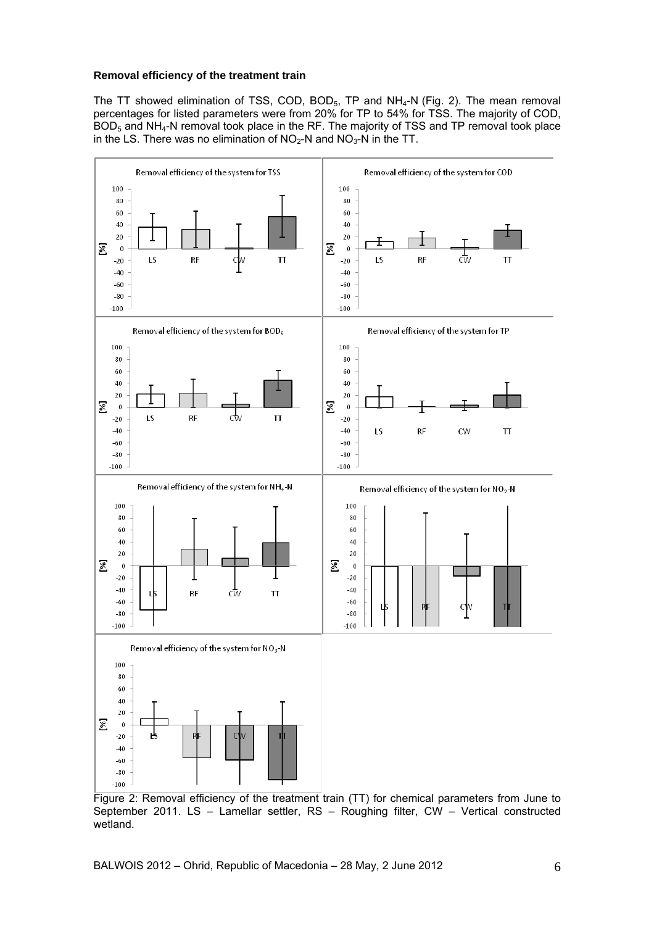#### **Removal efficiency of the treatment train**

The TT showed elimination of TSS, COD, BOD $_5$ , TP and NH $_4$ -N (Fig. 2). The mean removal percentages for listed parameters were from 20% for TP to 54% for TSS. The majority of COD,  $BOD<sub>5</sub>$  and NH<sub>4</sub>-N removal took place in the RF. The majority of TSS and TP removal took place in the LS. There was no elimination of  $NO<sub>2</sub>-N$  and  $NO<sub>3</sub>-N$  in the TT.



Figure 2: Removal efficiency of the treatment train (TT) for chemical parameters from June to September 2011. LS – Lamellar settler, RS – Roughing filter, CW – Vertical constructed wetland.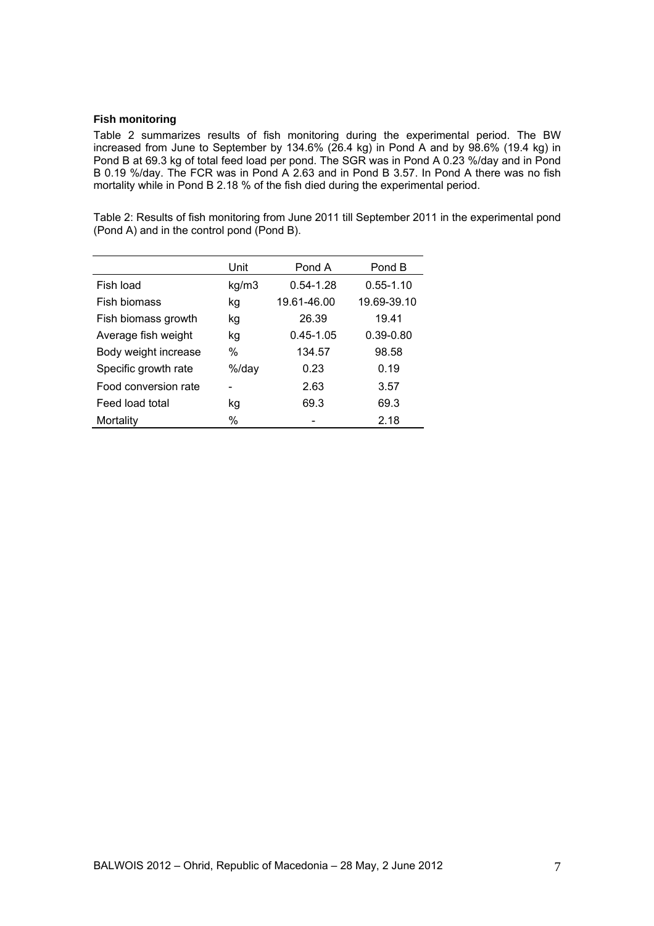#### **Fish monitoring**

Table 2 summarizes results of fish monitoring during the experimental period. The BW increased from June to September by 134.6% (26.4 kg) in Pond A and by 98.6% (19.4 kg) in Pond B at 69.3 kg of total feed load per pond. The SGR was in Pond A 0.23 %/day and in Pond B 0.19 %/day. The FCR was in Pond A 2.63 and in Pond B 3.57. In Pond A there was no fish mortality while in Pond B 2.18 % of the fish died during the experimental period.

Table 2: Results of fish monitoring from June 2011 till September 2011 in the experimental pond (Pond A) and in the control pond (Pond B).

|                      | Unit  | Pond A        | Pond B        |
|----------------------|-------|---------------|---------------|
| Fish load            | kg/m3 | $0.54 - 1.28$ | $0.55 - 1.10$ |
| Fish biomass         | kg    | 19.61-46.00   | 19.69-39.10   |
| Fish biomass growth  | kg    | 26.39         | 19.41         |
| Average fish weight  | kg    | $0.45 - 1.05$ | $0.39 - 0.80$ |
| Body weight increase | %     | 134.57        | 98.58         |
| Specific growth rate | %/day | 0.23          | 0.19          |
| Food conversion rate |       | 2.63          | 3.57          |
| Feed load total      | kg    | 69.3          | 69.3          |
| Mortality            | %     |               | 2.18          |
|                      |       |               |               |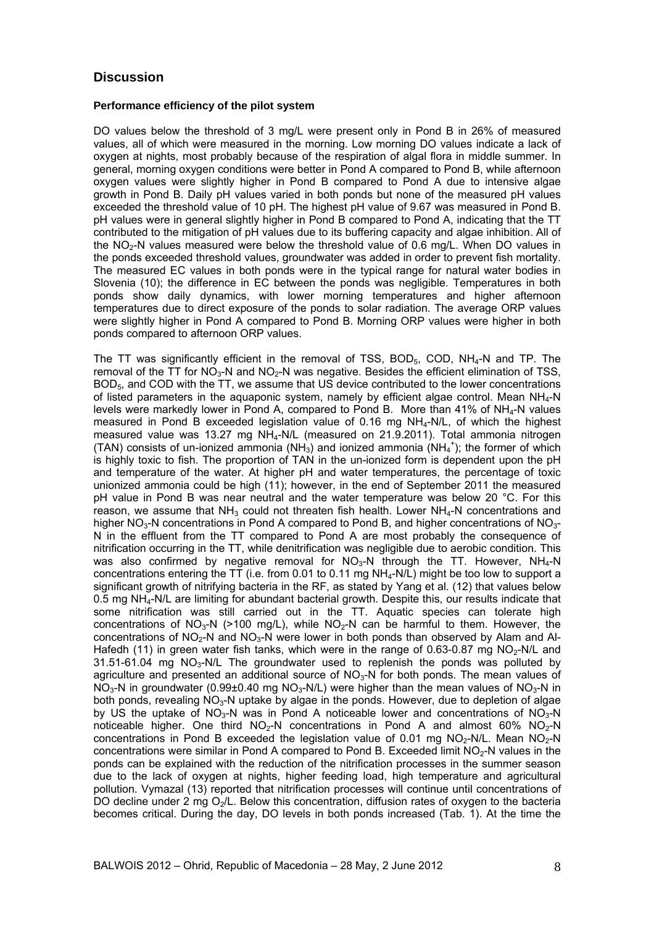### **Discussion**

#### **Performance efficiency of the pilot system**

DO values below the threshold of 3 mg/L were present only in Pond B in 26% of measured values, all of which were measured in the morning. Low morning DO values indicate a lack of oxygen at nights, most probably because of the respiration of algal flora in middle summer. In general, morning oxygen conditions were better in Pond A compared to Pond B, while afternoon oxygen values were slightly higher in Pond B compared to Pond A due to intensive algae growth in Pond B. Daily pH values varied in both ponds but none of the measured pH values exceeded the threshold value of 10 pH. The highest pH value of 9.67 was measured in Pond B. pH values were in general slightly higher in Pond B compared to Pond A, indicating that the TT contributed to the mitigation of pH values due to its buffering capacity and algae inhibition. All of the  $NO<sub>2</sub>-N$  values measured were below the threshold value of 0.6 mg/L. When DO values in the ponds exceeded threshold values, groundwater was added in order to prevent fish mortality. The measured EC values in both ponds were in the typical range for natural water bodies in Slovenia (10); the difference in EC between the ponds was negligible. Temperatures in both ponds show daily dynamics, with lower morning temperatures and higher afternoon temperatures due to direct exposure of the ponds to solar radiation. The average ORP values were slightly higher in Pond A compared to Pond B. Morning ORP values were higher in both ponds compared to afternoon ORP values.

The TT was significantly efficient in the removal of TSS, BOD $_5$ , COD, NH $_4$ -N and TP. The removal of the  $TT$  for  $NO<sub>3</sub>-N$  and  $NO<sub>2</sub>-N$  was negative. Besides the efficient elimination of TSS, BOD<sub>5</sub>, and COD with the TT, we assume that US device contributed to the lower concentrations of listed parameters in the aquaponic system, namely by efficient algae control. Mean NH<sub>4</sub>-N levels were markedly lower in Pond A, compared to Pond B. More than 41% of NH<sub>4</sub>-N values measured in Pond B exceeded legislation value of 0.16 mg NH4-N/L, of which the highest measured value was 13.27 mg NH4-N/L (measured on 21.9.2011). Total ammonia nitrogen (TAN) consists of un-ionized ammonia (NH<sub>3</sub>) and ionized ammonia (NH<sub>4</sub><sup>+</sup>); the former of which is highly toxic to fish. The proportion of TAN in the un-ionized form is dependent upon the pH and temperature of the water. At higher pH and water temperatures, the percentage of toxic unionized ammonia could be high (11); however, in the end of September 2011 the measured pH value in Pond B was near neutral and the water temperature was below 20 °C. For this reason, we assume that  $NH<sub>3</sub>$  could not threaten fish health. Lower  $NH<sub>4</sub>-N$  concentrations and higher NO<sub>3</sub>-N concentrations in Pond A compared to Pond B, and higher concentrations of NO<sub>3</sub>-N in the effluent from the TT compared to Pond A are most probably the consequence of nitrification occurring in the TT, while denitrification was negligible due to aerobic condition. This was also confirmed by negative removal for  $NO<sub>3</sub>-N$  through the TT. However,  $NH<sub>4</sub>-N$ concentrations entering the TT (i.e. from 0.01 to 0.11 mg NH<sub>4</sub>-N/L) might be too low to support a significant growth of nitrifying bacteria in the RF, as stated by Yang et al. (12) that values below 0.5 mg NH4-N/L are limiting for abundant bacterial growth. Despite this, our results indicate that some nitrification was still carried out in the TT. Aquatic species can tolerate high concentrations of NO<sub>3</sub>-N (>100 mg/L), while NO<sub>2</sub>-N can be harmful to them. However, the concentrations of NO<sub>2</sub>-N and NO<sub>3</sub>-N were lower in both ponds than observed by Alam and Al-Hafedh (11) in green water fish tanks, which were in the range of 0.63-0.87 mg  $NO<sub>2</sub>-N/L$  and  $31.51-61.04$  mg NO<sub>3</sub>-N/L The groundwater used to replenish the ponds was polluted by agriculture and presented an additional source of  $NO<sub>3</sub>-N$  for both ponds. The mean values of NO<sub>3</sub>-N in groundwater (0.99±0.40 mg NO<sub>3</sub>-N/L) were higher than the mean values of NO<sub>3</sub>-N in both ponds, revealing  $NO<sub>3</sub>-N$  uptake by algae in the ponds. However, due to depletion of algae by US the uptake of NO<sub>3</sub>-N was in Pond A noticeable lower and concentrations of NO<sub>3</sub>-N noticeable higher. One third  $NO<sub>2</sub>-N$  concentrations in Pond A and almost 60% NO<sub>2</sub>-N concentrations in Pond B exceeded the legislation value of 0.01 mg  $NO<sub>2</sub>-N/L$ . Mean  $NO<sub>2</sub>-N$ concentrations were similar in Pond A compared to Pond B. Exceeded limit  $NO<sub>2</sub>-N$  values in the ponds can be explained with the reduction of the nitrification processes in the summer season due to the lack of oxygen at nights, higher feeding load, high temperature and agricultural pollution. Vymazal (13) reported that nitrification processes will continue until concentrations of DO decline under 2 mg  $O<sub>2</sub>/L$ . Below this concentration, diffusion rates of oxygen to the bacteria becomes critical. During the day, DO levels in both ponds increased (Tab. 1). At the time the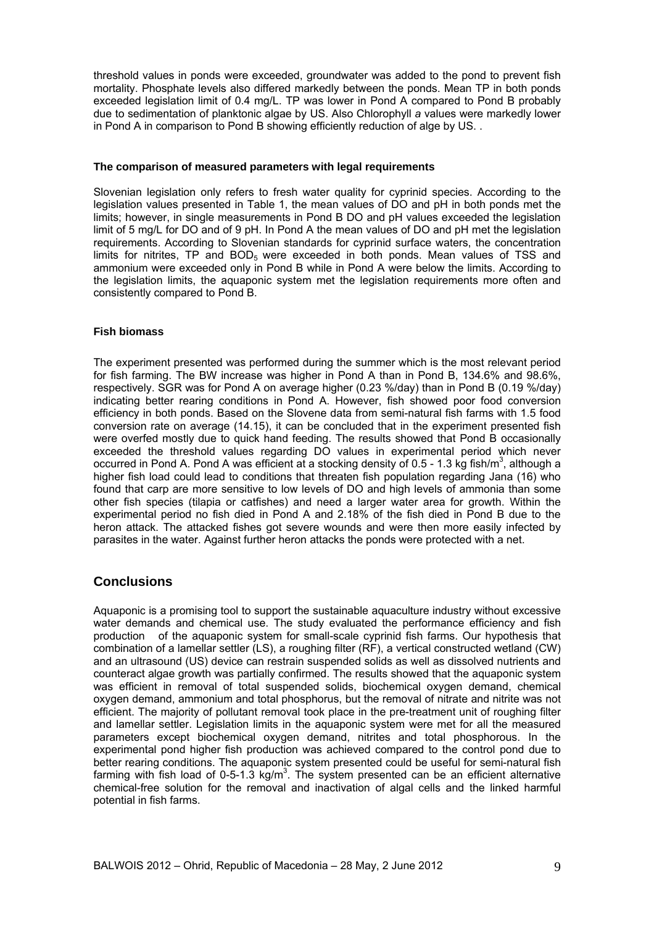threshold values in ponds were exceeded, groundwater was added to the pond to prevent fish mortality. Phosphate levels also differed markedly between the ponds. Mean TP in both ponds exceeded legislation limit of 0.4 mg/L. TP was lower in Pond A compared to Pond B probably due to sedimentation of planktonic algae by US. Also Chlorophyll *a* values were markedly lower in Pond A in comparison to Pond B showing efficiently reduction of alge by US. .

#### **The comparison of measured parameters with legal requirements**

Slovenian legislation only refers to fresh water quality for cyprinid species. According to the legislation values presented in Table 1, the mean values of DO and pH in both ponds met the limits; however, in single measurements in Pond B DO and pH values exceeded the legislation limit of 5 mg/L for DO and of 9 pH. In Pond A the mean values of DO and pH met the legislation requirements. According to Slovenian standards for cyprinid surface waters, the concentration limits for nitrites, TP and  $BOD<sub>5</sub>$  were exceeded in both ponds. Mean values of TSS and ammonium were exceeded only in Pond B while in Pond A were below the limits. According to the legislation limits, the aquaponic system met the legislation requirements more often and consistently compared to Pond B.

#### **Fish biomass**

The experiment presented was performed during the summer which is the most relevant period for fish farming. The BW increase was higher in Pond A than in Pond B, 134.6% and 98.6%, respectively. SGR was for Pond A on average higher (0.23 %/day) than in Pond B (0.19 %/day) indicating better rearing conditions in Pond A. However, fish showed poor food conversion efficiency in both ponds. Based on the Slovene data from semi-natural fish farms with 1.5 food conversion rate on average (14.15), it can be concluded that in the experiment presented fish were overfed mostly due to quick hand feeding. The results showed that Pond B occasionally exceeded the threshold values regarding DO values in experimental period which never occurred in Pond A. Pond A was efficient at a stocking density of 0.5 - 1.3 kg fish/m<sup>3</sup>, although a higher fish load could lead to conditions that threaten fish population regarding Jana (16) who found that carp are more sensitive to low levels of DO and high levels of ammonia than some other fish species (tilapia or catfishes) and need a larger water area for growth. Within the experimental period no fish died in Pond A and 2.18% of the fish died in Pond B due to the heron attack. The attacked fishes got severe wounds and were then more easily infected by parasites in the water. Against further heron attacks the ponds were protected with a net.

## **Conclusions**

Aquaponic is a promising tool to support the sustainable aquaculture industry without excessive water demands and chemical use. The study evaluated the performance efficiency and fish production of the aquaponic system for small-scale cyprinid fish farms. Our hypothesis that combination of a lamellar settler (LS), a roughing filter (RF), a vertical constructed wetland (CW) and an ultrasound (US) device can restrain suspended solids as well as dissolved nutrients and counteract algae growth was partially confirmed. The results showed that the aquaponic system was efficient in removal of total suspended solids, biochemical oxygen demand, chemical oxygen demand, ammonium and total phosphorus, but the removal of nitrate and nitrite was not efficient. The majority of pollutant removal took place in the pre-treatment unit of roughing filter and lamellar settler. Legislation limits in the aquaponic system were met for all the measured parameters except biochemical oxygen demand, nitrites and total phosphorous. In the experimental pond higher fish production was achieved compared to the control pond due to better rearing conditions. The aquaponic system presented could be useful for semi-natural fish farming with fish load of 0-5-1.3  $kg/m<sup>3</sup>$ . The system presented can be an efficient alternative chemical-free solution for the removal and inactivation of algal cells and the linked harmful potential in fish farms.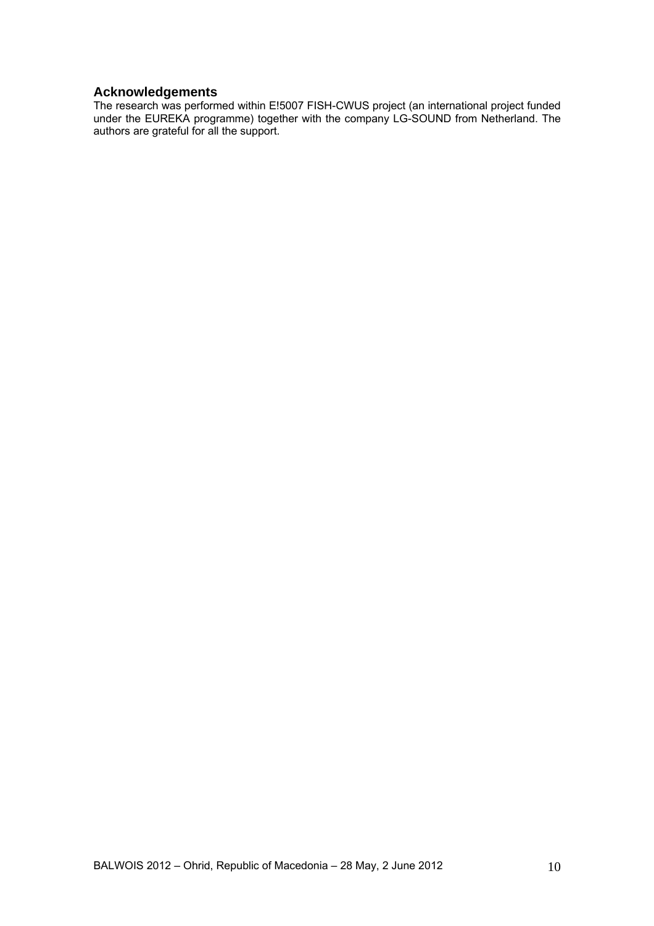# **Acknowledgements**

The research was performed within E!5007 FISH-CWUS project (an international project funded under the EUREKA programme) together with the company LG-SOUND from Netherland. The authors are grateful for all the support.